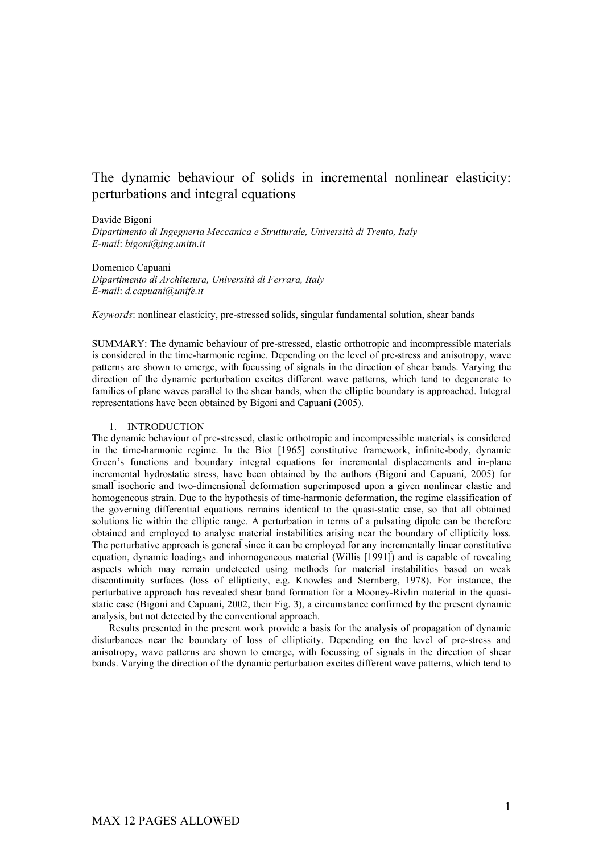## The dynamic behaviour of solids in incremental nonlinear elasticity: perturbations and integral equations

Davide Bigoni

*Dipartimento di Ingegneria Meccanica e Strutturale, Università di Trento, Italy E-mail*: *bigoni@ing.unitn.it*

Domenico Capuani *Dipartimento di Architetura, Università di Ferrara, Italy E-mail*: *d.capuani@unife.it*

*Keywords*: nonlinear elasticity, pre-stressed solids, singular fundamental solution, shear bands

SUMMARY: The dynamic behaviour of pre-stressed, elastic orthotropic and incompressible materials is considered in the time-harmonic regime. Depending on the level of pre-stress and anisotropy, wave patterns are shown to emerge, with focussing of signals in the direction of shear bands. Varying the direction of the dynamic perturbation excites different wave patterns, which tend to degenerate to families of plane waves parallel to the shear bands, when the elliptic boundary is approached. Integral representations have been obtained by Bigoni and Capuani (2005).

## 1. INTRODUCTION

The dynamic behaviour of pre-stressed, elastic orthotropic and incompressible materials is considered in the time-harmonic regime. In the Biot [1965] constitutive framework, infinite-body, dynamic Green's functions and boundary integral equations for incremental displacements and in-plane incremental hydrostatic stress, have been obtained by the authors (Bigoni and Capuani, 2005) for small isochoric and two-dimensional deformation superimposed upon a given nonlinear elastic and homogeneous strain. Due to the hypothesis of time-harmonic deformation, the regime classification of the governing differential equations remains identical to the quasi-static case, so that all obtained solutions lie within the elliptic range. A perturbation in terms of a pulsating dipole can be therefore obtained and employed to analyse material instabilities arising near the boundary of ellipticity loss. The perturbative approach is general since it can be employed for any incrementally linear constitutive equation, dynamic loadings and inhomogeneous material (Willis [1991]) and is capable of revealing aspects which may remain undetected using methods for material instabilities based on weak discontinuity surfaces (loss of ellipticity, e.g. Knowles and Sternberg, 1978). For instance, the perturbative approach has revealed shear band formation for a Mooney-Rivlin material in the quasistatic case (Bigoni and Capuani, 2002, their Fig. 3), a circumstance confirmed by the present dynamic analysis, but not detected by the conventional approach.

Results presented in the present work provide a basis for the analysis of propagation of dynamic disturbances near the boundary of loss of ellipticity. Depending on the level of pre-stress and anisotropy, wave patterns are shown to emerge, with focussing of signals in the direction of shear bands. Varying the direction of the dynamic perturbation excites different wave patterns, which tend to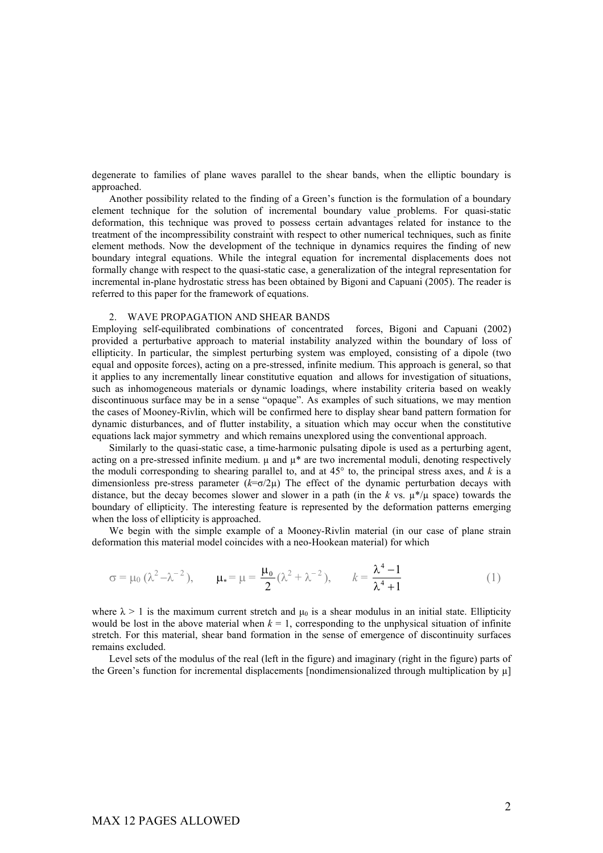degenerate to families of plane waves parallel to the shear bands, when the elliptic boundary is approached.

Another possibility related to the finding of a Green's function is the formulation of a boundary element technique for the solution of incremental boundary value problems. For quasi-static deformation, this technique was proved to possess certain advantages related for instance to the treatment of the incompressibility constraint with respect to other numerical techniques, such as finite element methods. Now the development of the technique in dynamics requires the finding of new boundary integral equations. While the integral equation for incremental displacements does not formally change with respect to the quasi-static case, a generalization of the integral representation for incremental in-plane hydrostatic stress has been obtained by Bigoni and Capuani (2005). The reader is referred to this paper for the framework of equations.

## 2. WAVE PROPAGATION AND SHEAR BANDS

Employing self-equilibrated combinations of concentrated forces, Bigoni and Capuani (2002) provided a perturbative approach to material instability analyzed within the boundary of loss of ellipticity. In particular, the simplest perturbing system was employed, consisting of a dipole (two equal and opposite forces), acting on a pre-stressed, infinite medium. This approach is general, so that it applies to any incrementally linear constitutive equation and allows for investigation of situations, such as inhomogeneous materials or dynamic loadings, where instability criteria based on weakly discontinuous surface may be in a sense "opaque". As examples of such situations, we may mention the cases of Mooney-Rivlin, which will be confirmed here to display shear band pattern formation for dynamic disturbances, and of flutter instability, a situation which may occur when the constitutive equations lack major symmetry and which remains unexplored using the conventional approach.

Similarly to the quasi-static case, a time-harmonic pulsating dipole is used as a perturbing agent, acting on a pre-stressed infinite medium.  $\mu$  and  $\mu^*$  are two incremental moduli, denoting respectively the moduli corresponding to shearing parallel to, and at 45° to, the principal stress axes, and *k* is a dimensionless pre-stress parameter (*k*=σ/2µ) The effect of the dynamic perturbation decays with distance, but the decay becomes slower and slower in a path (in the *k* vs.  $\mu^*/\mu$  space) towards the boundary of ellipticity. The interesting feature is represented by the deformation patterns emerging when the loss of ellipticity is approached.

We begin with the simple example of a Mooney-Rivlin material (in our case of plane strain deformation this material model coincides with a neo-Hookean material) for which

$$
\sigma = \mu_0 \ (\lambda^2 - \lambda^{-2}), \qquad \mu_* = \mu = \frac{\mu_0}{2} \ (\lambda^2 + \lambda^{-2}), \qquad k = \frac{\lambda^4 - 1}{\lambda^4 + 1} \tag{1}
$$

where  $\lambda > 1$  is the maximum current stretch and  $\mu_0$  is a shear modulus in an initial state. Ellipticity would be lost in the above material when  $k = 1$ , corresponding to the unphysical situation of infinite stretch. For this material, shear band formation in the sense of emergence of discontinuity surfaces remains excluded.

Level sets of the modulus of the real (left in the figure) and imaginary (right in the figure) parts of the Green's function for incremental displacements [nondimensionalized through multiplication by  $\mu$ ]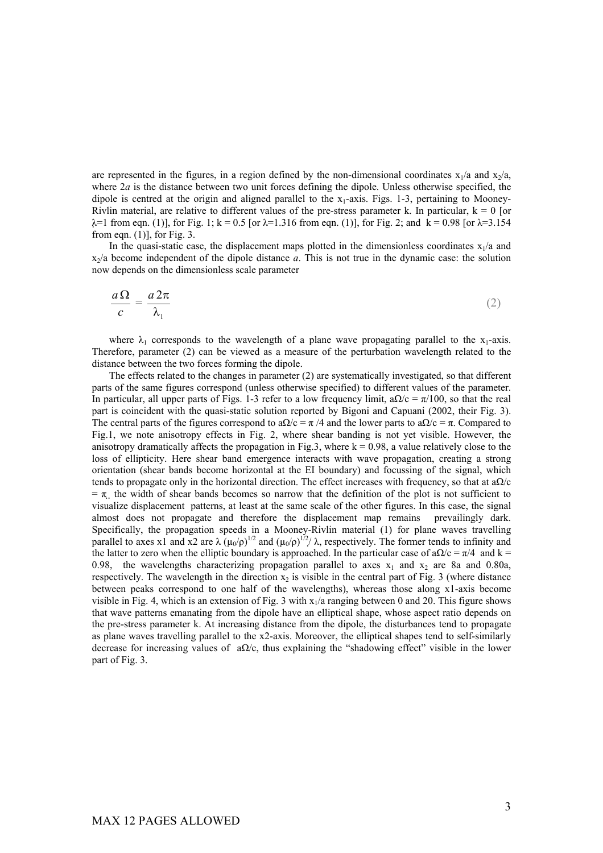are represented in the figures, in a region defined by the non-dimensional coordinates  $x_1/a$  and  $x_2/a$ , where  $2a$  is the distance between two unit forces defining the dipole. Unless otherwise specified, the dipole is centred at the origin and aligned parallel to the  $x_1$ -axis. Figs. 1-3, pertaining to Mooney-Rivlin material, are relative to different values of the pre-stress parameter k. In particular,  $k = 0$  [or  $λ=1$  from eqn. (1)], for Fig. 1; k = 0.5 [or  $λ=1.316$  from eqn. (1)], for Fig. 2; and k = 0.98 [or  $λ=3.154$ from eqn.  $(1)$ ], for Fig. 3.

In the quasi-static case, the displacement maps plotted in the dimensionless coordinates  $x_1/a$  and  $x_2/a$  become independent of the dipole distance  $a$ . This is not true in the dynamic case: the solution now depends on the dimensionless scale parameter

$$
\frac{a\,\Omega}{c} = \frac{a\,2\pi}{\lambda_1} \tag{2}
$$

where  $\lambda_1$  corresponds to the wavelength of a plane wave propagating parallel to the  $x_1$ -axis. Therefore, parameter (2) can be viewed as a measure of the perturbation wavelength related to the distance between the two forces forming the dipole.

The effects related to the changes in parameter (2) are systematically investigated, so that different parts of the same figures correspond (unless otherwise specified) to different values of the parameter. In particular, all upper parts of Figs. 1-3 refer to a low frequency limit,  $a\Omega/c = \pi/100$ , so that the real part is coincident with the quasi-static solution reported by Bigoni and Capuani (2002, their Fig. 3). The central parts of the figures correspond to a $\Omega/c = \pi/4$  and the lower parts to a $\Omega/c = \pi$ . Compared to Fig.1, we note anisotropy effects in Fig. 2, where shear banding is not yet visible. However, the anisotropy dramatically affects the propagation in Fig.3, where  $k = 0.98$ , a value relatively close to the loss of ellipticity. Here shear band emergence interacts with wave propagation, creating a strong orientation (shear bands become horizontal at the EI boundary) and focussing of the signal, which tends to propagate only in the horizontal direction. The effect increases with frequency, so that at  $a\Omega/c$  $=\pi$  the width of shear bands becomes so narrow that the definition of the plot is not sufficient to visualize displacement patterns, at least at the same scale of the other figures. In this case, the signal almost does not propagate and therefore the displacement map remains prevailingly dark. Specifically, the propagation speeds in a Mooney-Rivlin material (1) for plane waves travelling parallel to axes x1 and x2 are  $\lambda (\mu_0/\rho)^{1/2}$  and  $(\mu_0/\rho)^{1/2}/\lambda$ , respectively. The former tends to infinity and the latter to zero when the elliptic boundary is approached. In the particular case of a $\Omega/c = \pi/4$  and k = 0.98, the wavelengths characterizing propagation parallel to axes  $x_1$  and  $x_2$  are 8a and 0.80a, respectively. The wavelength in the direction  $x_2$  is visible in the central part of Fig. 3 (where distance between peaks correspond to one half of the wavelengths), whereas those along x1-axis become visible in Fig. 4, which is an extension of Fig. 3 with  $x_1/a$  ranging between 0 and 20. This figure shows that wave patterns emanating from the dipole have an elliptical shape, whose aspect ratio depends on the pre-stress parameter k. At increasing distance from the dipole, the disturbances tend to propagate as plane waves travelling parallel to the x2-axis. Moreover, the elliptical shapes tend to self-similarly decrease for increasing values of  $a\Omega/c$ , thus explaining the "shadowing effect" visible in the lower part of Fig. 3.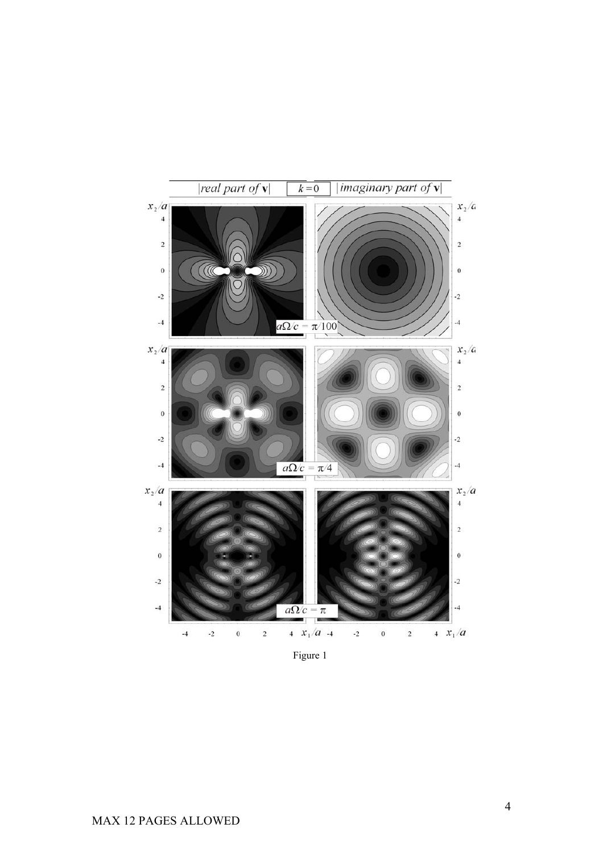

Figure 1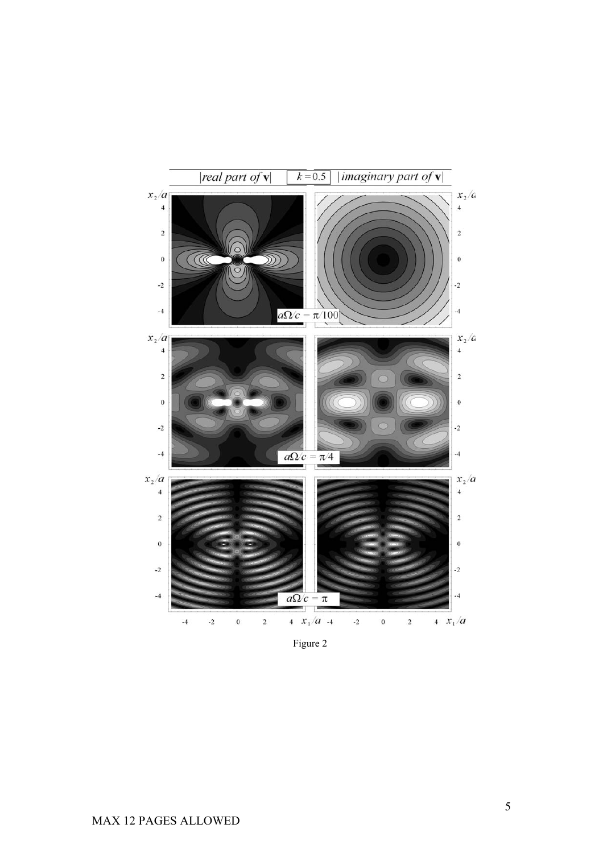

Figure 2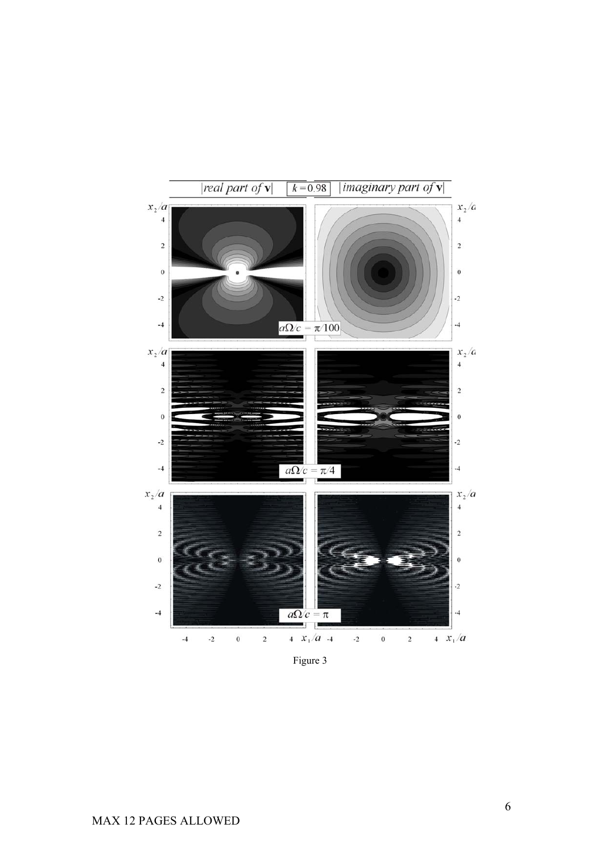

Figure 3